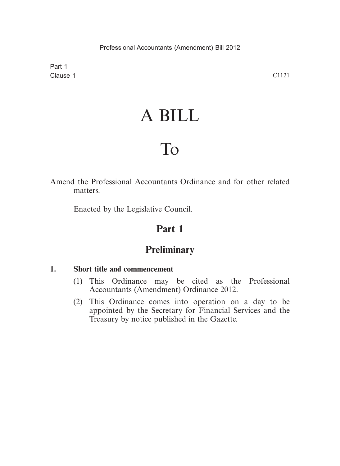Part 1 Clause 1

# A BILL

# To

Amend the Professional Accountants Ordinance and for other related matters.

Enacted by the Legislative Council.

# **Part 1**

# **Preliminary**

### **1. Short title and commencement**

- (1) This Ordinance may be cited as the Professional Accountants (Amendment) Ordinance 2012.
- (2) This Ordinance comes into operation on a day to be appointed by the Secretary for Financial Services and the Treasury by notice published in the Gazette.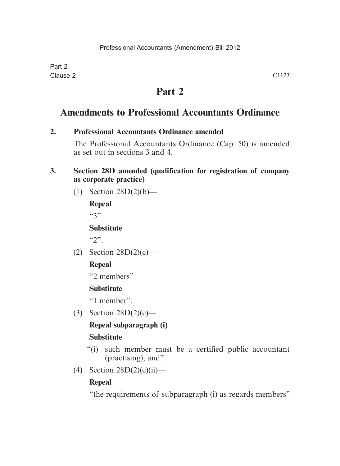# **Part 2**

# **Amendments to Professional Accountants Ordinance**

#### **2. Professional Accountants Ordinance amended**

The Professional Accountants Ordinance (Cap. 50) is amended as set out in sections 3 and 4.

#### **3. Section 28D amended (qualification for registration of company as corporate practice)**

(1) Section 28D(2)(b)—

**Repeal**  $(3")$ 

**Substitute**

 $(5)$ 

(2) Section  $28D(2)(c)$ —

## **Repeal**

"2 members"

## **Substitute**

"1 member".

(3) Section 28D(2)(c)—

## **Repeal subparagraph (i)**

## **Substitute**

- "(i) such member must be a certified public accountant (practising); and".
- (4) Section  $28D(2)(c)(ii)$ —

## **Repeal**

"the requirements of subparagraph (i) as regards members"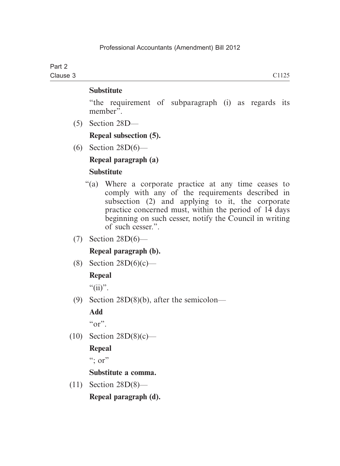#### Part 2 Clause 3

#### **Substitute**

"the requirement of subparagraph (i) as regards its member".

(5) Section 28D—

**Repeal subsection (5).**

(6) Section 28D(6)—

### **Repeal paragraph (a)**

#### **Substitute**

- "(a) Where a corporate practice at any time ceases to comply with any of the requirements described in subsection (2) and applying to it, the corporate practice concerned must, within the period of 14 days beginning on such cesser, notify the Council in writing of such cesser.".
- (7) Section 28D(6)—

### **Repeal paragraph (b).**

(8) Section  $28D(6)(c)$ —

### **Repeal**

 $``(ii)''$ .

(9) Section 28D(8)(b), after the semicolon—

## **Add**

 $\mathfrak{c}_{\Omega}$ ".

(10) Section 28D(8)(c)—

## **Repeal**

 $\ddots$  or"

### **Substitute a comma.**

 (11) Section 28D(8)— **Repeal paragraph (d).**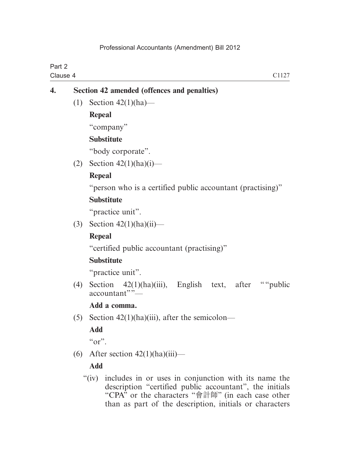| Part 2<br>Clause 4<br>C <sub>1127</sub> |                                             |                       |  |  |
|-----------------------------------------|---------------------------------------------|-----------------------|--|--|
| 4.                                      | Section 42 amended (offences and penalties) |                       |  |  |
|                                         | (1)                                         | Section $42(1)(ha)$ — |  |  |
|                                         |                                             | Repeal                |  |  |
|                                         |                                             | "company"             |  |  |

#### **Substitute**

"body corporate".

(2) Section  $42(1)(ha)(i)$ —

#### **Repeal**

"person who is a certified public accountant (practising)"

### **Substitute**

"practice unit".

(3) Section  $42(1)(ha)(ii)$ —

### **Repeal**

"certified public accountant (practising)"

### **Substitute**

"practice unit".

(4) Section  $42(1)(ha)(iii)$ , English text, after "" public  $\arctan("$ 

### **Add a comma.**

(5) Section  $42(1)(ha)(iii)$ , after the semicolon—

## **Add**

 $\alpha$  or".

(6) After section  $42(1)(ha)(iii)$ —

## **Add**

 "(iv) includes in or uses in conjunction with its name the description "certified public accountant", the initials "CPA" or the characters "會計師" (in each case other than as part of the description, initials or characters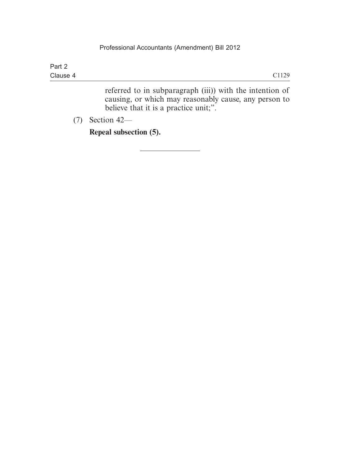| Part 2   |       |
|----------|-------|
| Clause 4 | C1129 |

referred to in subparagraph (iii)) with the intention of causing, or which may reasonably cause, any person to believe that it is a practice unit;".

(7) Section 42—

**Repeal subsection (5).**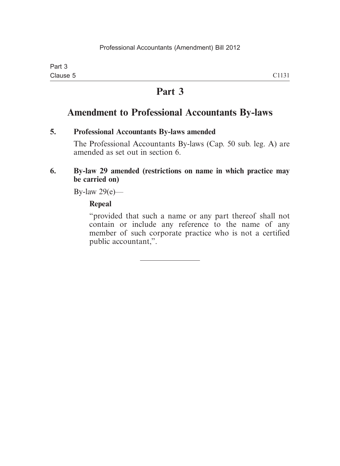# **Part 3**

# **Amendment to Professional Accountants By-laws**

#### **5. Professional Accountants By-laws amended**

The Professional Accountants By-laws (Cap. 50 sub. leg. A) are amended as set out in section 6.

#### **6. By-law 29 amended (restrictions on name in which practice may be carried on)**

By-law 29(e)—

#### **Repeal**

"provided that such a name or any part thereof shall not contain or include any reference to the name of any member of such corporate practice who is not a certified public accountant,".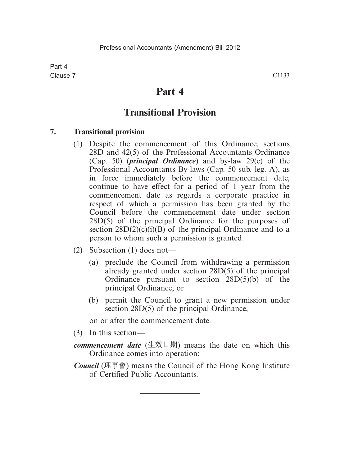## **Part 4**

# **Transitional Provision**

#### **7. Transitional provision**

- (1) Despite the commencement of this Ordinance, sections 28D and 42(5) of the Professional Accountants Ordinance (Cap. 50) (*principal Ordinance*) and by-law 29(e) of the Professional Accountants By-laws (Cap. 50 sub. leg. A), as in force immediately before the commencement date, continue to have effect for a period of 1 year from the commencement date as regards a corporate practice in respect of which a permission has been granted by the Council before the commencement date under section 28D(5) of the principal Ordinance for the purposes of section  $28D(2)(c)(i)(B)$  of the principal Ordinance and to a person to whom such a permission is granted.
- (2) Subsection (1) does not—
	- (a) preclude the Council from withdrawing a permission already granted under section 28D(5) of the principal Ordinance pursuant to section 28D(5)(b) of the principal Ordinance; or
	- (b) permit the Council to grant a new permission under section 28D(5) of the principal Ordinance,

on or after the commencement date.

- (3) In this section—
- *commencement date* (生效日期) means the date on which this Ordinance comes into operation;
- *Council* (理事會) means the Council of the Hong Kong Institute of Certified Public Accountants.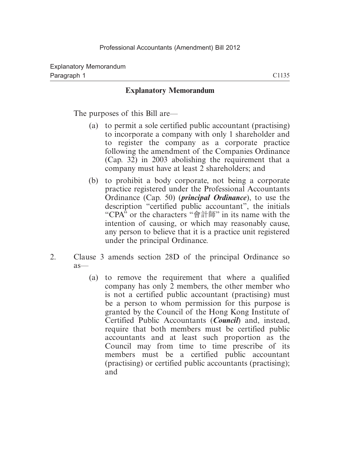#### **Explanatory Memorandum**

The purposes of this Bill are—

- (a) to permit a sole certified public accountant (practising) to incorporate a company with only 1 shareholder and to register the company as a corporate practice following the amendment of the Companies Ordinance (Cap. 32) in 2003 abolishing the requirement that a company must have at least 2 shareholders; and
- (b) to prohibit a body corporate, not being a corporate practice registered under the Professional Accountants Ordinance (Cap. 50) (*principal Ordinance*), to use the description "certified public accountant", the initials "CPA" or the characters "會計師" in its name with the intention of causing, or which may reasonably cause, any person to believe that it is a practice unit registered under the principal Ordinance.
- 2. Clause 3 amends section 28D of the principal Ordinance so as—
	- (a) to remove the requirement that where a qualified company has only 2 members, the other member who is not a certified public accountant (practising) must be a person to whom permission for this purpose is granted by the Council of the Hong Kong Institute of Certified Public Accountants (*Council*) and, instead, require that both members must be certified public accountants and at least such proportion as the Council may from time to time prescribe of its members must be a certified public accountant (practising) or certified public accountants (practising); and